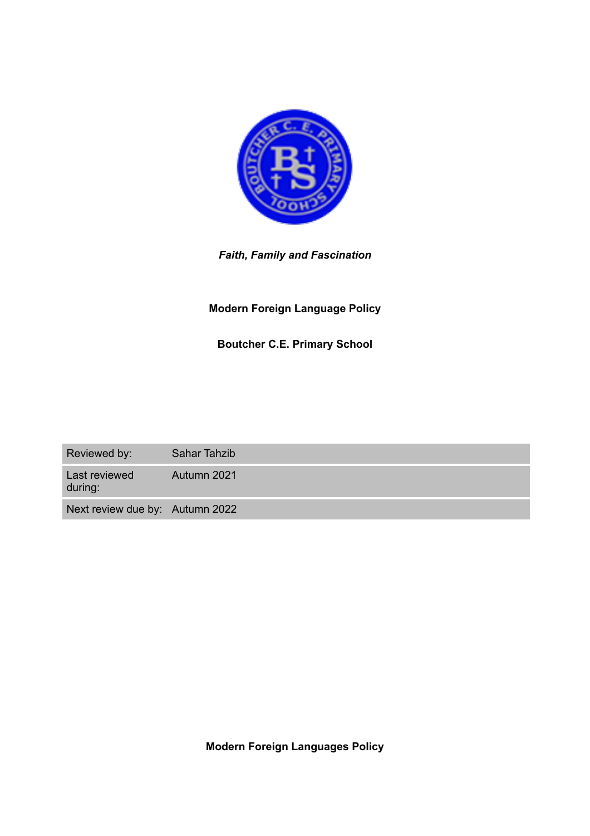

# *Faith, Family and Fascination*

# **Modern Foreign Language Policy**

# **Boutcher C.E. Primary School**

| Reviewed by:                    | <b>Sahar Tahzib</b> |
|---------------------------------|---------------------|
| Last reviewed<br>during:        | Autumn 2021         |
| Next review due by: Autumn 2022 |                     |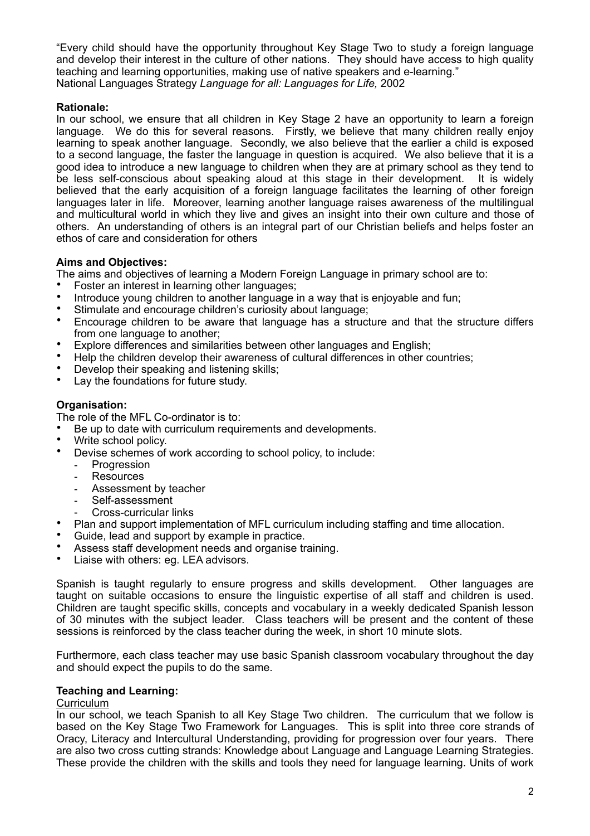"Every child should have the opportunity throughout Key Stage Two to study a foreign language and develop their interest in the culture of other nations. They should have access to high quality teaching and learning opportunities, making use of native speakers and e-learning." National Languages Strategy *Language for all: Languages for Life,* 2002

# **Rationale:**

In our school, we ensure that all children in Key Stage 2 have an opportunity to learn a foreign language. We do this for several reasons. Firstly, we believe that many children really enjoy learning to speak another language. Secondly, we also believe that the earlier a child is exposed to a second language, the faster the language in question is acquired. We also believe that it is a good idea to introduce a new language to children when they are at primary school as they tend to be less self-conscious about speaking aloud at this stage in their development. It is widely believed that the early acquisition of a foreign language facilitates the learning of other foreign languages later in life. Moreover, learning another language raises awareness of the multilingual and multicultural world in which they live and gives an insight into their own culture and those of others. An understanding of others is an integral part of our Christian beliefs and helps foster an ethos of care and consideration for others

## **Aims and Objectives:**

The aims and objectives of learning a Modern Foreign Language in primary school are to:

- Foster an interest in learning other languages;
- Introduce young children to another language in a way that is enjoyable and fun;<br>• Stimulate and encourage children's curiosity about language:
- Stimulate and encourage children's curiosity about language:
- Encourage children to be aware that language has a structure and that the structure differs from one language to another;
- Explore differences and similarities between other languages and English;<br>• Help the children dovelop their awareness of cultural differences in other ca
- Help the children develop their awareness of cultural differences in other countries;<br>• Dovelop their speaking and listening skills;
- Develop their speaking and listening skills;<br>• Lay the foundations for future study
- Lay the foundations for future study.

## **Organisation:**

The role of the MFL Co-ordinator is to:

Be up to date with curriculum requirements and developments.

- Write school policy.
- Devise schemes of work according to school policy, to include:
	- Progression
	- Resources
	- Assessment by teacher
	- Self-assessment
	- Cross-curricular links
- Plan and support implementation of MFL curriculum including staffing and time allocation.
- Guide, lead and support by example in practice.
- Assess staff development needs and organise training.
- Liaise with others: eg. LEA advisors.

Spanish is taught regularly to ensure progress and skills development. Other languages are taught on suitable occasions to ensure the linguistic expertise of all staff and children is used. Children are taught specific skills, concepts and vocabulary in a weekly dedicated Spanish lesson of 30 minutes with the subject leader. Class teachers will be present and the content of these sessions is reinforced by the class teacher during the week, in short 10 minute slots.

Furthermore, each class teacher may use basic Spanish classroom vocabulary throughout the day and should expect the pupils to do the same.

# **Teaching and Learning:**

#### **Curriculum**

In our school, we teach Spanish to all Key Stage Two children. The curriculum that we follow is based on the Key Stage Two Framework for Languages. This is split into three core strands of Oracy, Literacy and Intercultural Understanding, providing for progression over four years. There are also two cross cutting strands: Knowledge about Language and Language Learning Strategies. These provide the children with the skills and tools they need for language learning. Units of work